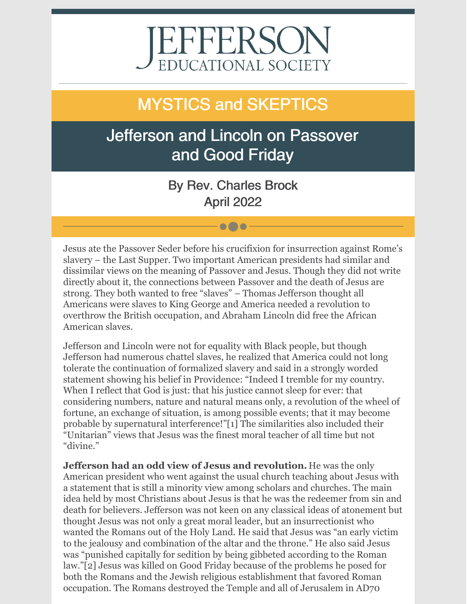# EFFERSON EDUCATIONAL SOCIETY

# MYSTICS and SKEPTICS

## Jefferson and Lincoln on Passover and Good Friday

By Rev. Charles Brock April 2022

 $\bullet\bullet\bullet$ 

Jesus ate the Passover Seder before his crucifixion for insurrection against Rome's slavery – the Last Supper. Two important American presidents had similar and dissimilar views on the meaning of Passover and Jesus. Though they did not write directly about it, the connections between Passover and the death of Jesus are strong. They both wanted to free "slaves" – Thomas Jefferson thought all Americans were slaves to King George and America needed a revolution to overthrow the British occupation, and Abraham Lincoln did free the African American slaves.

Jefferson and Lincoln were not for equality with Black people, but though Jefferson had numerous chattel slaves, he realized that America could not long tolerate the continuation of formalized slavery and said in a strongly worded statement showing his belief in Providence: "Indeed I tremble for my country. When I reflect that God is just: that his justice cannot sleep for ever: that considering numbers, nature and natural means only, a revolution of the wheel of fortune, an exchange of situation, is among possible events; that it may become probable by supernatural interference!"[1] The similarities also included their "Unitarian" views that Jesus was the finest moral teacher of all time but not "divine."

**Jefferson had an odd view of Jesus and revolution.** He was the only American president who went against the usual church teaching about Jesus with a statement that is still a minority view among scholars and churches. The main idea held by most Christians about Jesus is that he was the redeemer from sin and death for believers. Jefferson was not keen on any classical ideas of atonement but thought Jesus was not only a great moral leader, but an insurrectionist who wanted the Romans out of the Holy Land. He said that Jesus was "an early victim to the jealousy and combination of the altar and the throne." He also said Jesus was "punished capitally for sedition by being gibbeted according to the Roman law."[2] Jesus was killed on Good Friday because of the problems he posed for both the Romans and the Jewish religious establishment that favored Roman occupation. The Romans destroyed the Temple and all of Jerusalem in AD70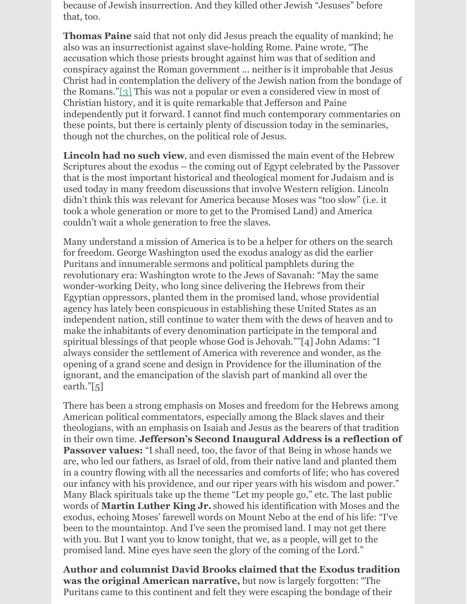because of Jewish insurrection. And they killed other Jewish "Jesuses" before that, too.

**Thomas Paine** said that not only did Jesus preach the equality of mankind; he also was an insurrectionist against slave-holding Rome. Paine wrote, "The accusation which those priests brought against him was that of sedition and conspiracy against the Roman government ... neither is it improbable that Jesus Christ had in contemplation the delivery of the Jewish nation from the bondage of the Romans."[3] This was not a popular or even a considered view in most of Christian history, and it is quite remarkable that Jefferson and Paine independently put it forward. I cannot find much contemporary commentaries on these points, but there is certainly plenty of discussion today in the seminaries, though not the churches, on the political role of Jesus.

**Lincoln had no such view**, and even dismissed the main event of the Hebrew Scriptures about the exodus – the coming out of Egypt celebrated by the Passover that is the most important historical and theological moment for Judaism and is used today in many freedom discussions that involve Western religion. Lincoln didn't think this was relevant for America because Moses was "too slow" (i.e. it took a whole generation or more to get to the Promised Land) and America couldn't wait a whole generation to free the slaves.

Many understand a mission of America is to be a helper for others on the search for freedom. George Washington used the exodus analogy as did the earlier Puritans and innumerable sermons and political pamphlets during the revolutionary era: Washington wrote to the Jews of Savanah: "May the same wonder-working Deity, who long since delivering the Hebrews from their Egyptian oppressors, planted them in the promised land, whose providential agency has lately been conspicuous in establishing these United States as an independent nation, still continue to water them with the dews of heaven and to make the inhabitants of every denomination participate in the temporal and spiritual blessings of that people whose God is Jehovah.""[4] John Adams: "I always consider the settlement of America with reverence and wonder, as the opening of a grand scene and design in Providence for the illumination of the ignorant, and the emancipation of the slavish part of mankind all over the earth."[5]

There has been a strong emphasis on Moses and freedom for the Hebrews among American political commentators, especially among the Black slaves and their theologians, with an emphasis on Isaiah and Jesus as the bearers of that tradition in their own time. **Jefferson's Second Inaugural Address is a reflection of Passover values:** "I shall need, too, the favor of that Being in whose hands we are, who led our fathers, as Israel of old, from their native land and planted them in a country flowing with all the necessaries and comforts of life; who has covered our infancy with his providence, and our riper years with his wisdom and power." Many Black spirituals take up the theme "Let my people go," etc. The last public words of **Martin Luther King Jr.** showed his identification with Moses and the exodus, echoing Moses' farewell words on Mount Nebo at the end of his life: "I've been to the mountaintop. And I've seen the promised land. I may not get there with you. But I want you to know tonight, that we, as a people, will get to the promised land. Mine eyes have seen the glory of the coming of the Lord."

**Author and columnist David Brooks claimed that the Exodus tradition was the original American narrative,** but now is largely forgotten: "The Puritans came to this continent and felt they were escaping the bondage of their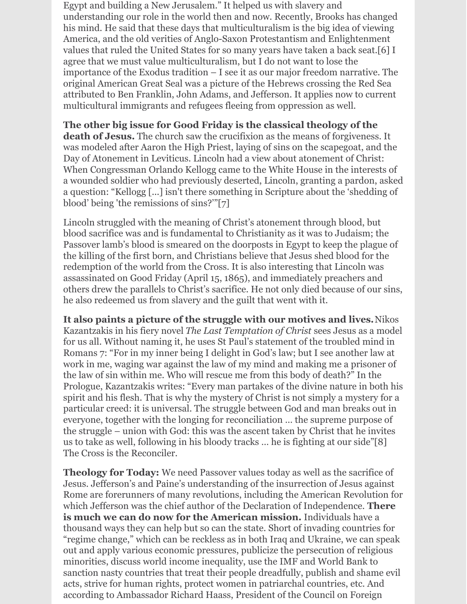Egypt and building a New Jerusalem." It helped us with slavery and understanding our role in the world then and now. Recently, Brooks has changed his mind. He said that these days that multiculturalism is the big idea of viewing America, and the old verities of Anglo-Saxon Protestantism and Enlightenment values that ruled the United States for so many years have taken a back seat.[6] I agree that we must value multiculturalism, but I do not want to lose the importance of the Exodus tradition – I see it as our major freedom narrative. The original American Great Seal was a picture of the Hebrews crossing the Red Sea attributed to Ben Franklin, John Adams, and Jefferson. It applies now to current multicultural immigrants and refugees fleeing from oppression as well.

#### **The other big issue for Good Friday is the classical theology of the**

**death of Jesus.** The church saw the crucifixion as the means of forgiveness. It was modeled after Aaron the High Priest, laying of sins on the scapegoat, and the Day of Atonement in Leviticus. Lincoln had a view about atonement of Christ: When Congressman Orlando Kellogg came to the White House in the interests of a wounded soldier who had previously deserted, Lincoln, granting a pardon, asked a question: "Kellogg [...] isn't there something in Scripture about the 'shedding of blood' being 'the remissions of sins?'"[7]

Lincoln struggled with the meaning of Christ's atonement through blood, but blood sacrifice was and is fundamental to Christianity as it was to Judaism; the Passover lamb's blood is smeared on the doorposts in Egypt to keep the plague of the killing of the first born, and Christians believe that Jesus shed blood for the redemption of the world from the Cross. It is also interesting that Lincoln was assassinated on Good Friday (April 15, 1865), and immediately preachers and others drew the parallels to Christ's sacrifice. He not only died because of our sins, he also redeemed us from slavery and the guilt that went with it.

**It also paints a picture of the struggle with our motives and lives.**Nikos Kazantzakis in his fiery novel *The Last Temptation of Christ* sees Jesus as a model for us all. Without naming it, he uses St Paul's statement of the troubled mind in Romans 7: "For in my inner being I delight in God's law; but I see another law at work in me, waging war against the law of my mind and making me a prisoner of the law of sin within me. Who will rescue me from this body of death?" In the Prologue, Kazantzakis writes: "Every man partakes of the divine nature in both his spirit and his flesh. That is why the mystery of Christ is not simply a mystery for a particular creed: it is universal. The struggle between God and man breaks out in everyone, together with the longing for reconciliation … the supreme purpose of the struggle – union with God: this was the ascent taken by Christ that he invites us to take as well, following in his bloody tracks … he is fighting at our side"[8] The Cross is the Reconciler.

**Theology for Today:** We need Passover values today as well as the sacrifice of Jesus. Jefferson's and Paine's understanding of the insurrection of Jesus against Rome are forerunners of many revolutions, including the American Revolution for which Jefferson was the chief author of the Declaration of Independence. **There is much we can do now for the American mission.** Individuals have a thousand ways they can help but so can the state. Short of invading countries for "regime change," which can be reckless as in both Iraq and Ukraine, we can speak out and apply various economic pressures, publicize the persecution of religious minorities, discuss world income inequality, use the IMF and World Bank to sanction nasty countries that treat their people dreadfully, publish and shame evil acts, strive for human rights, protect women in patriarchal countries, etc. And according to Ambassador Richard Haass, President of the Council on Foreign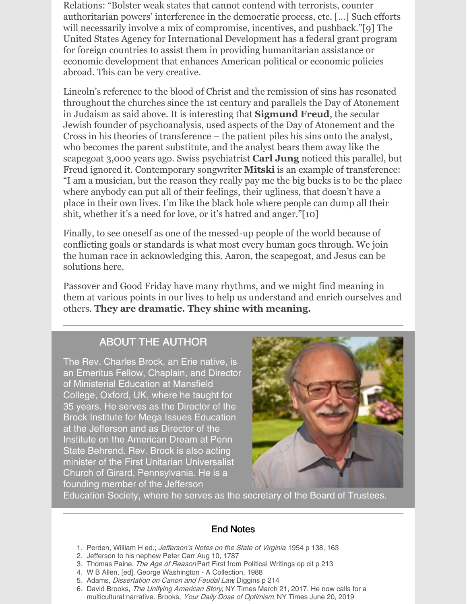Relations: "Bolster weak states that cannot contend with terrorists, counter authoritarian powers' interference in the democratic process, etc. […] Such efforts will necessarily involve a mix of compromise, incentives, and pushback."[9] The United States Agency for International Development has a federal grant program for foreign countries to assist them in providing humanitarian assistance or economic development that enhances American political or economic policies abroad. This can be very creative.

Lincoln's reference to the blood of Christ and the remission of sins has resonated throughout the churches since the 1st century and parallels the Day of Atonement in Judaism as said above. It is interesting that **Sigmund Freud**, the secular Jewish founder of psychoanalysis, used aspects of the Day of Atonement and the Cross in his theories of transference – the patient piles his sins onto the analyst, who becomes the parent substitute, and the analyst bears them away like the scapegoat 3,000 years ago. Swiss psychiatrist **Carl Jung** noticed this parallel, but Freud ignored it. Contemporary songwriter **Mitski** is an example of transference: "I am a musician, but the reason they really pay me the big bucks is to be the place where anybody can put all of their feelings, their ugliness, that doesn't have a place in their own lives. I'm like the black hole where people can dump all their shit, whether it's a need for love, or it's hatred and anger."[10]

Finally, to see oneself as one of the messed-up people of the world because of conflicting goals or standards is what most every human goes through. We join the human race in acknowledging this. Aaron, the scapegoat, and Jesus can be solutions here.

Passover and Good Friday have many rhythms, and we might find meaning in them at various points in our lives to help us understand and enrich ourselves and others. **They are dramatic. They shine with meaning.**

#### ABOUT THE AUTHOR

The Rev. Charles Brock, an Erie native, is an Emeritus Fellow, Chaplain, and Director of Ministerial Education at Mansfield College, Oxford, UK, where he taught for 35 years. He serves as the Director of the Brock Institute for Mega Issues Education at the Jefferson and as Director of the Institute on the American Dream at Penn State Behrend. Rev. Brock is also acting minister of the First Unitarian Universalist Church of Girard, Pennsylvania. He is a founding member of the Jefferson



Education Society, where he serves as the secretary of the Board of Trustees.

#### End Notes

- 1. Perden, William H ed.; *Jefferson's Notes on the State of Virginia*; 1954 p 138, 163
- 2. Jefferson to his nephew Peter Carr Aug 10, 1787
- 3. Thomas Paine, The Age of Reason Part First from Political Writings op cit p 213
- 4. W B Allen, [ed], George Washington A Collection, 1988
- 5. Adams, Dissertation on Canon and Feudal Law, Diggins p 214
- 6. David Brooks, The Unifying American Story, NY Times March 21, 2017. He now calls for a multicultural narrative. Brooks, Your Daily Dose of Optimism, NY Times June 20, 2019